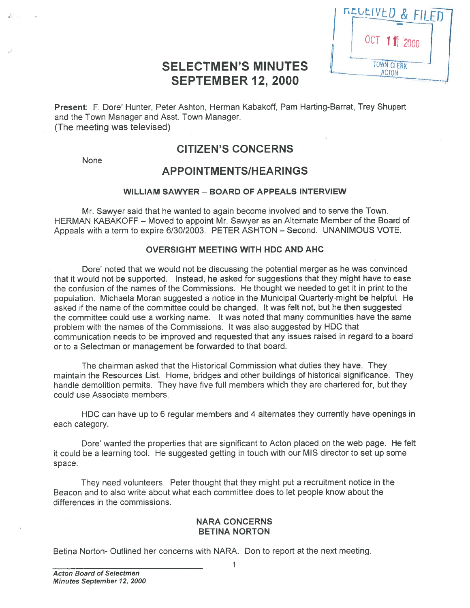

# SELECTMEN'S MINUTES SEPTEMBER 12, 2000

Present: F. Dote' Hunter, Peter Ashton, Herman Kabakoff, Pam Harting-Barrat, Trey Shupert and the Town Manager and Asst. Town Manager. (The meeting was televised)

None

# CITIZEN'S CONCERNS

# APPOINTMENTS/HEARINGS

#### WILLIAM SAWYER - BOARD OF APPEALS INTERVIEW

Mr. Sawyer said that he wanted to again become involved and to serve the Town. HERMAN KABAKOFF — Moved to appoint Mr. Sawyer as an Alternate Member of the Board of Appeals with <sup>a</sup> term to expire 6/30/2003. PETER ASHTON — Second. UNANIMOUS VOTE.

#### OVERSIGHT MEETING WITH HDC AND AHC

Dore' noted that we would not be discussing the potential merger as he was convinced that it would not be supported. Instead, he asked for suggestions that they might have to ease the confusion of the names of the Commissions. He thought we needed to ge<sup>t</sup> it in print to the population. Michaela Moran suggested a notice in the Municipal Quarterly might be helpful. He asked if the name of the committee could be changed. It was felt not, but he then suggested the committee could use <sup>a</sup> working name. It was noted that many communities have the same problem with the names of the Commissions. It was also suggested by HDC that communication needs to be improved and requested that any issues raised in regard to <sup>a</sup> board or to <sup>a</sup> Selectman or managemen<sup>t</sup> be forwarded to that board.

The chairman asked that the Historical Commission what duties they have. They maintain the Resources List. Home, bridges and other buildings of historical significance. They handle demolition permits. They have five full members which they are chartered for, but they could use Associate members.

HDC can have up to <sup>6</sup> regular members and 4 alternates they currently have openings in each category.

Dore' wanted the properties that are significant to Acton placed on the web page. He felt it could be <sup>a</sup> learning tool. He suggested getting in touch with our MIS director to set up some space.

They need volunteers. Peter thought that they might pu<sup>t</sup> <sup>a</sup> recruitment notice in the Beacon and to also write about what each committee does to let people know about the differences in the commissions.

#### NARA CONCERNS BETINA NORTON

Betina Norton- Outlined her concerns with NARA. Don to repor<sup>t</sup> at the next meeting.

 $\mathbf{1}$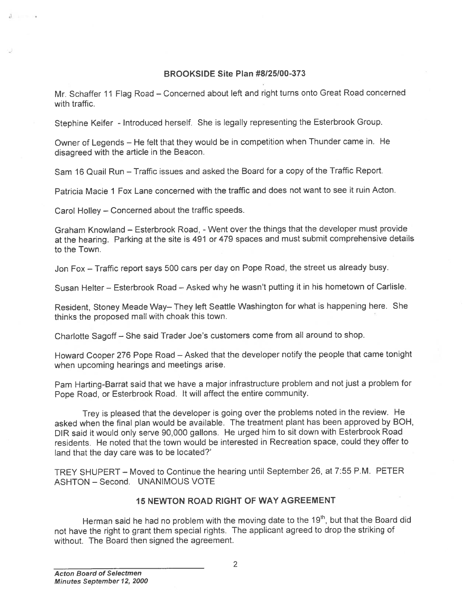#### BROOKSIDE Site Plan #8125/00-373

Mr. Schaffer 11 Flag Road - Concerned about left and right turns onto Great Road concerned with traffic.

Stephine Keifer - Introduced herself. She is legally representing the Esterbrook Group.

Owner of Legends — He felt that they would be in competition when Thunder came in. He disagreed with the article in the Beacon.

Sam <sup>16</sup> Quail Run — Traffic issues and asked the Board for <sup>a</sup> copy of the Traffic Report.

Patricia Macie I Fox Lane concerned with the traffic and does not want to see it ruin Acton.

Carol Holley — Concerned about the traffic speeds.

 $1 - 1 - 1$ 

Graham Knowland — Esterbrook Road, -Went over the things that the developer must provide at the hearing. Parking at the site is <sup>491</sup> or <sup>479</sup> spaces and must submit comprehensive details to the Town.

Jon Fox — Traffic repor<sup>t</sup> says <sup>500</sup> cars per day on Pope Road, the street us already busy.

Susan Helter — Esterbrook Road — Asked why he wasn't putting it in his hometown of Carlisle.

Resident, Stoney Meade Way— They left Seattle Washington for what is happening here. She thinks the proposed mall with choak this town.

Charlotte Sagoff — She said Trader Joe's customers come from all around to shop.

Howard Cooper <sup>276</sup> Pope Road — Asked that the developer notify the people that came tonight when upcoming hearings and meetings arise.

Pam Harting-Barrat said that we have <sup>a</sup> major infrastructure problem and not just <sup>a</sup> problem for Pope Road, or Esterbrook Road. It will affect the entire community.

Trey is <sup>p</sup>leased that the developer is going over the problems noted in the review. He asked when the final <sup>p</sup>lan would be available. The treatment <sup>p</sup>lant has been approve<sup>d</sup> by BOH, DIR said it would only serve 90,000 gallons. He urge<sup>d</sup> him to sit down with Esterbrook Road residents. He noted that the town would be interested in Recreation space, could they offer to land that the day care was to be located?'

TREY SHUPERT — Moved to Continue the hearing until September 26, at 7:55 P.M. PETER ASHTON — Second. UNANIMOUS VOTE

### 15 NEWTON ROAD RIGHT OF WAY AGREEMENT

Herman said he had no problem with the moving date to the 19<sup>th</sup>, but that the Board did not have the right to gran<sup>t</sup> them special rights. The applicant agree<sup>d</sup> to drop the striking of without. The Board then signed the agreement.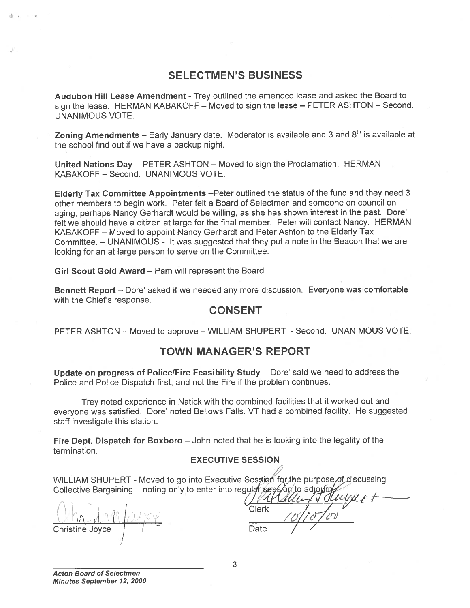# SELECTMEN'S BUSINESS

Audubon Hill Lease Amendment - Trey outlined the amended lease and asked the Board to sign the lease. HERMAN KABAKOFF — Moved to sign the lease — PETER ASHTON — Second. UNANIMOUS VOTE.

Zoning Amendments  $-$  Early January date. Moderator is available and 3 and  $8<sup>th</sup>$  is available at the school find out if we have <sup>a</sup> backup night.

United Nations Day -PETER ASHTON — Moved to sign the Proclamation. HERMAN KABAKOFF — Second. UNANIMOUS VOTE.

Elderly Tax Committee Appointments —Peter outlined the status of the fund and they need <sup>3</sup> other members to begin work. Peter felt <sup>a</sup> Board of Selectmen and someone on council on aging; perhaps Nancy Gerhardt would be willing, as she has shown interest in the past. Dote' felt we should have <sup>a</sup> citizen at large for the final member. Peter will contact Nancy. HERMAN KABAKOFF — Moved to appoint Nancy Gerhardt and Peter Ashton to the Elderly Tax Committee. — UNANIMOUS - It was suggested that they pu<sup>t</sup> <sup>a</sup> note in the Beacon that we are looking for an at large person to serve on the Committee. SELECTMEN'S BUSINESS<br>
Lease Amendment - Trey outlined the amended lease and asks<br>
HERMAN KABAKOFF - Moved to sign the lease - PETER ASE<br>
VOTE.<br>
HERMAN KABAKOFF - Moved to sign the lease - PETER ASE<br>
didments - Early Januar SELECTMEN'S BUSINESS<br>
SHORON HIII Lease Amendment - Trey outlined the amended lease<br>
sign the lease - PERAMA KABAKOFF - Moved to sign the lease - PE<br>
Zoning Amendments - Early January date. Moderator is available a<br>
the sc

Girl Scout Gold Award — Pam will represen<sup>t</sup> the Board.

Bennett Report - Dore' asked if we needed any more discussion. Everyone was comfortable with the Chief's response.

## CONSENT

PETER ASHTON - Moved to approve - WILLIAM SHUPERT - Second. UNANIMOUS VOTE.

## TOWN MANAGER'S REPORT

Update on progress of Police/Fire Feasibility Study - Dore' said we need to address the Police and Police Dispatch first, and not the Fire if the problem continues.

Trey noted experience in Natick with the combined facilities that it worked out and everyone was satisfied. Dore' noted Bellows Falls. VT had a combined facility. He suggested staff investigate this station.

Fire Dept. Dispatch for Boxboro — John noted that he is looking into the legality of the termination.

#### EXECUTIVE SESSION

WILLIAM SHUPERT - Moved to go into Executive Session for the purpose of discussing Collective Bargaining – noting only to enter into regular session to adjourn

 $\int_{0}^{1}$   $\int_{0}^{1}$   $\int_{0}^{1}$   $\int_{0}^{1}$   $\int_{0}^{1}$   $\int_{0}^{1}$   $\int_{0}^{1}$   $\int_{0}^{1}$   $\int_{0}^{1}$   $\int_{0}^{1}$ 

3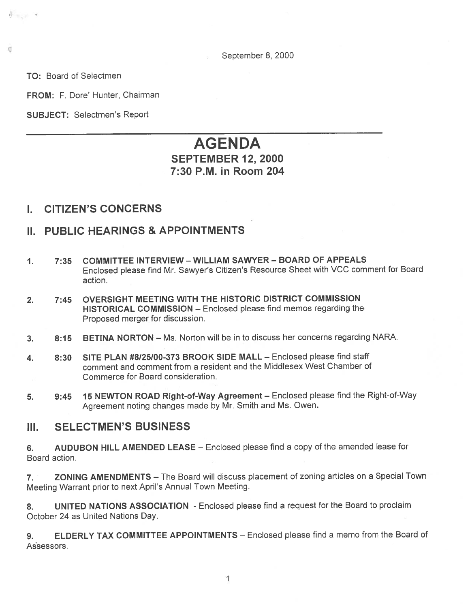September 8, 2000

TO: Board of Selectmen

 $\delta = 1$ 

¢

FROM: F. Dore' Hunter, Chairman

SUBJECT: Selectmen's Report

# AGENDA SEPTEMBER 12, 2000 7:30 P.M. in Room 204

# I. CITIZEN'S CONCERNS

# II. PUBLIC HEARINGS & APPOINTMENTS

- 1. 7:35 COMMITTEE INTERVIEW -WILLIAM SAWYER BOARD OF APPEALS Enclosed <sup>p</sup>lease find Mr. Sawyer's Citizen's Resource Sheet with VCC comment for Board action.
- 2. 7:45 OVERSIGHT MEETING WITH THE HISTORIC DISTRICT COMMISSION HISTORICAL COMMISSION — Enclosed please find memos regarding the Proposed merger for discussion.
- 3. 8:15 BETINA NORTON Ms. Norton will be in to discuss her concerns regarding NARA.
- 4. 8:30 SITE PLAN #8125100-373 BROOK SIDE MALL Enclosed please find staff comment and comment from <sup>a</sup> resident and the Middlesex West Chamber of Commerce for Board consideration.
- 5. 9:45 <sup>15</sup> NEWTON ROAD Right-of-Way Agreement Enclosed <sup>p</sup>lease find the Right-of-Way Agreement noting changes made by Mr. Smith and Ms. Owen.

# III. SELECTMEN'S BUSINESS

6. AUDUBON HILL AMENDED LEASE — Enclosed <sup>p</sup>lease find <sup>a</sup> copy of the amended lease for Board action.

7. ZONING AMENDMENTS - The Board will discuss placement of zoning articles on a Special Town Meeting Warrant prior to next April's Annual Town Meeting.

8. UNITED NATIONS ASSOCIATION - Enclosed please find a request for the Board to proclaim October 24 as United Nations Day.

9. ELDERLY TAX COMMITTEE APPOINTMENTS - Enclosed please find a memo from the Board of Assessors.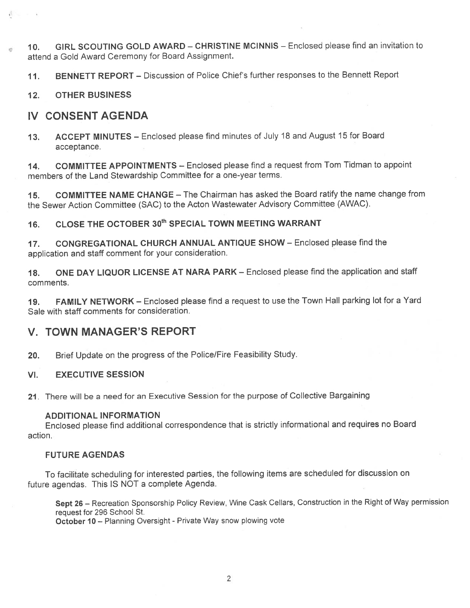10. GIRL SCOUTING GOLD AWARD – CHRISTINE MCINNIS – Enclosed please find an invitation to attend <sup>a</sup> Gold Award Ceremony for Board Assignment.

11. BENNETT REPORT – Discussion of Police Chief's further responses to the Bennett Report

### 12. OTHER BUSINESS

### IV CONSENT AGENDA

13. ACCEPT MINUTES — Enclosed <sup>p</sup>lease find minutes of July <sup>18</sup> and August <sup>15</sup> for Board acceptance.

14. COMMITTEE APPOINTMENTS - Enclosed please find a request from Tom Tidman to appoint members of the Land Stewardship Committee for <sup>a</sup> one-year terms.

15. COMMITTEE NAME CHANGE — The Chairman has asked the Board ratify the name change from the Sewer Action Committee (SAC) to the Acton Wastewater Advisory Committee (AWAC).

## 16. CLOSE THE OCTOBER 30<sup>th</sup> SPECIAL TOWN MEETING WARRANT

17. CONGREGATIONAL CHURCH ANNUAL ANTIQUE SHOW — Enclosed <sup>p</sup>lease find the application and staff comment for your consideration.

18. ONE DAY LIQUOR LICENSE AT NARA PARK - Enclosed please find the application and staff comments.

19. FAMILY NETWORK – Enclosed please find a request to use the Town Hall parking lot for a Yard Sale with staff comments for consideration.

# V. TOWN MANAGER'S REPORT

20. Brief Update on the progress of the Police/Fire Feasibility Study.

#### VI. EXECUTIVE SESSION

21. There will be <sup>a</sup> need for an Executive Session for the purpose of Collective Bargaining

#### ADDITIONAL INFORMATION

Enclosed <sup>p</sup>lease find additional correspondence that is strictly informational and requires no Board action.

#### FUTURE AGENDAS

To facilitate scheduling for interested parties, the following items are scheduled for discussion on future agendas. This IS NOT <sup>a</sup> complete Agenda.

Sept <sup>26</sup> — Recreation Sponsorship Policy Review, Wine Cask Cellars, Construction in the Right of Way permission reques<sup>t</sup> for 296 School St.

October 10 — Planning Oversight - Private Way snow plowing vote